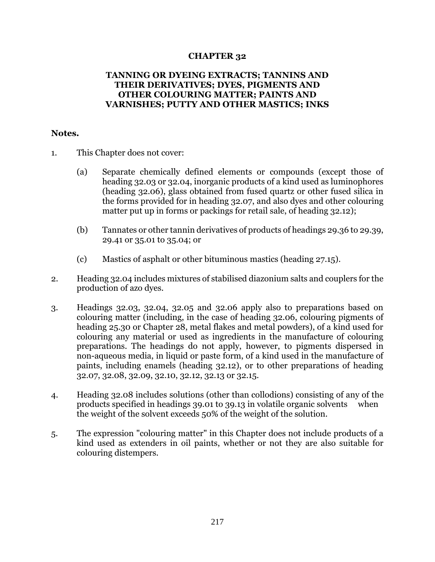## **CHAPTER 32**

## **TANNING OR DYEING EXTRACTS; TANNINS AND THEIR DERIVATIVES; DYES, PIGMENTS AND OTHER COLOURING MATTER; PAINTS AND VARNISHES; PUTTY AND OTHER MASTICS; INKS**

## **Notes.**

- 1. This Chapter does not cover:
	- (a) Separate chemically defined elements or compounds (except those of heading 32.03 or 32.04, inorganic products of a kind used as luminophores (heading 32.06), glass obtained from fused quartz or other fused silica in the forms provided for in heading 32.07, and also dyes and other colouring matter put up in forms or packings for retail sale, of heading 32.12);
	- (b) Tannates or other tannin derivatives of products of headings 29.36 to 29.39, 29.41 or 35.01 to 35.04; or
	- (c) Mastics of asphalt or other bituminous mastics (heading 27.15).
- 2. Heading 32.04 includes mixtures of stabilised diazonium salts and couplers for the production of azo dyes.
- 3. Headings 32.03, 32.04, 32.05 and 32.06 apply also to preparations based on colouring matter (including, in the case of heading 32.06, colouring pigments of heading 25.30 or Chapter 28, metal flakes and metal powders), of a kind used for colouring any material or used as ingredients in the manufacture of colouring preparations. The headings do not apply, however, to pigments dispersed in non-aqueous media, in liquid or paste form, of a kind used in the manufacture of paints, including enamels (heading 32.12), or to other preparations of heading 32.07, 32.08, 32.09, 32.10, 32.12, 32.13 or 32.15.
- 4. Heading 32.08 includes solutions (other than collodions) consisting of any of the products specified in headings 39.01 to 39.13 in volatile organic solvents when the weight of the solvent exceeds 50% of the weight of the solution.
- 5. The expression "colouring matter" in this Chapter does not include products of a kind used as extenders in oil paints, whether or not they are also suitable for colouring distempers.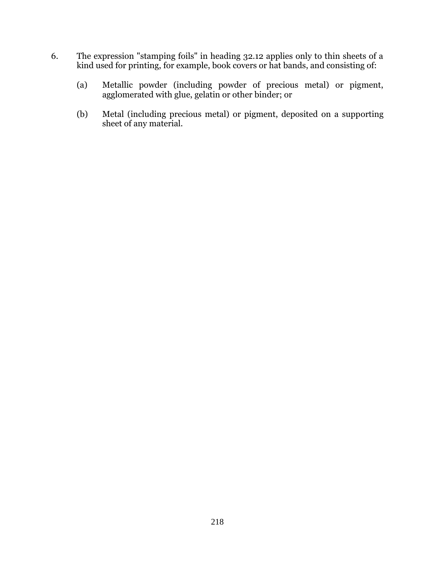- 6. The expression "stamping foils" in heading 32.12 applies only to thin sheets of a kind used for printing, for example, book covers or hat bands, and consisting of:
	- (a) Metallic powder (including powder of precious metal) or pigment, agglomerated with glue, gelatin or other binder; or
	- (b) Metal (including precious metal) or pigment, deposited on a supporting sheet of any material.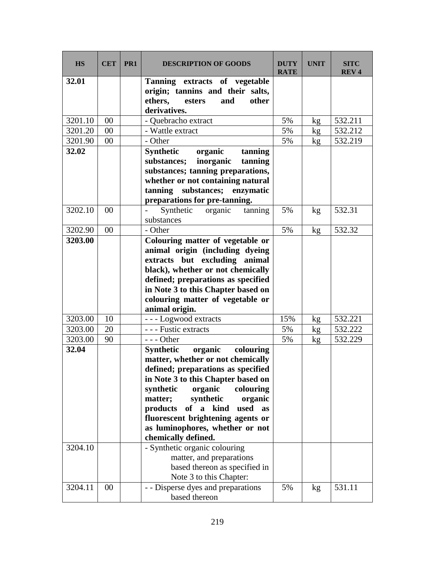| <b>HS</b> | <b>CET</b> | PR <sub>1</sub> | <b>DESCRIPTION OF GOODS</b>                | <b>DUTY</b><br><b>RATE</b> | <b>UNIT</b> | <b>SITC</b><br><b>REV4</b> |
|-----------|------------|-----------------|--------------------------------------------|----------------------------|-------------|----------------------------|
| 32.01     |            |                 | Tanning extracts of vegetable              |                            |             |                            |
|           |            |                 | origin; tannins and their salts,           |                            |             |                            |
|           |            |                 | ethers,<br>esters<br>and<br>other          |                            |             |                            |
|           |            |                 | derivatives.                               |                            |             |                            |
| 3201.10   | 00         |                 | - Quebracho extract                        | 5%                         | kg          | 532.211                    |
| 3201.20   | 00         |                 | - Wattle extract                           | 5%                         | kg          | 532.212                    |
| 3201.90   | 00         |                 | - Other                                    | 5%                         | kg          | 532.219                    |
| 32.02     |            |                 | <b>Synthetic</b><br>organic<br>tanning     |                            |             |                            |
|           |            |                 | substances;<br>inorganic<br>tanning        |                            |             |                            |
|           |            |                 | substances; tanning preparations,          |                            |             |                            |
|           |            |                 | whether or not containing natural          |                            |             |                            |
|           |            |                 | tanning substances; enzymatic              |                            |             |                            |
|           |            |                 | preparations for pre-tanning.              |                            |             |                            |
| 3202.10   | 00         |                 | Synthetic<br>organic<br>tanning            | 5%                         | kg          | 532.31                     |
|           |            |                 | substances                                 |                            |             |                            |
| 3202.90   | 00         |                 | - Other                                    | 5%                         | kg          | 532.32                     |
| 3203.00   |            |                 | Colouring matter of vegetable or           |                            |             |                            |
|           |            |                 | animal origin (including dyeing            |                            |             |                            |
|           |            |                 | extracts but excluding animal              |                            |             |                            |
|           |            |                 | black), whether or not chemically          |                            |             |                            |
|           |            |                 | defined; preparations as specified         |                            |             |                            |
|           |            |                 | in Note 3 to this Chapter based on         |                            |             |                            |
|           |            |                 | colouring matter of vegetable or           |                            |             |                            |
|           |            |                 | animal origin.                             |                            |             |                            |
| 3203.00   | 10         |                 | --- Logwood extracts                       | 15%                        | kg          | 532.221                    |
| 3203.00   | 20         |                 | - - - Fustic extracts                      | 5%                         | kg          | 532.222                    |
| 3203.00   | 90         |                 | $--$ Other                                 | 5%                         | kg          | 532.229                    |
| 32.04     |            |                 | Synthetic organic<br>colouring             |                            |             |                            |
|           |            |                 | matter, whether or not chemically          |                            |             |                            |
|           |            |                 | defined; preparations as specified         |                            |             |                            |
|           |            |                 | in Note 3 to this Chapter based on         |                            |             |                            |
|           |            |                 | synthetic<br>organic<br>colouring          |                            |             |                            |
|           |            |                 | synthetic<br>matter;<br>organic            |                            |             |                            |
|           |            |                 | products<br>of a kind<br>used<br><b>as</b> |                            |             |                            |
|           |            |                 | fluorescent brightening agents or          |                            |             |                            |
|           |            |                 | as luminophores, whether or not            |                            |             |                            |
|           |            |                 | chemically defined.                        |                            |             |                            |
| 3204.10   |            |                 | - Synthetic organic colouring              |                            |             |                            |
|           |            |                 | matter, and preparations                   |                            |             |                            |
|           |            |                 | based thereon as specified in              |                            |             |                            |
|           |            |                 | Note 3 to this Chapter:                    |                            |             |                            |
| 3204.11   | 00         |                 | - - Disperse dyes and preparations         | 5%                         | kg          | 531.11                     |
|           |            |                 | based thereon                              |                            |             |                            |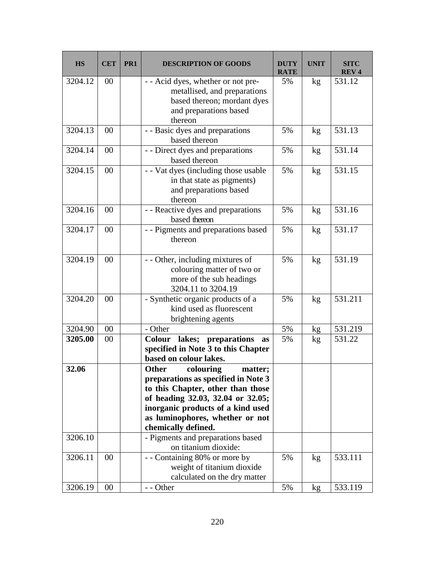| <b>HS</b> | <b>CET</b> | PR1 | <b>DESCRIPTION OF GOODS</b>                                                                                                                                                                                                                   | <b>DUTY</b><br><b>RATE</b> | <b>UNIT</b> | <b>SITC</b><br><b>REV4</b> |
|-----------|------------|-----|-----------------------------------------------------------------------------------------------------------------------------------------------------------------------------------------------------------------------------------------------|----------------------------|-------------|----------------------------|
| 3204.12   | 00         |     | - - Acid dyes, whether or not pre-<br>metallised, and preparations<br>based thereon; mordant dyes<br>and preparations based<br>thereon                                                                                                        | 5%                         | kg          | 531.12                     |
| 3204.13   | 00         |     | - - Basic dyes and preparations<br>based thereon                                                                                                                                                                                              | 5%                         | kg          | 531.13                     |
| 3204.14   | 00         |     | - - Direct dyes and preparations<br>based thereon                                                                                                                                                                                             | 5%                         | kg          | 531.14                     |
| 3204.15   | 00         |     | - - Vat dyes (including those usable<br>in that state as pigments)<br>and preparations based<br>thereon                                                                                                                                       | 5%                         | kg          | 531.15                     |
| 3204.16   | 00         |     | - - Reactive dyes and preparations<br>based thereon                                                                                                                                                                                           | 5%                         | kg          | 531.16                     |
| 3204.17   | 00         |     | - - Pigments and preparations based<br>thereon                                                                                                                                                                                                | 5%                         | kg          | 531.17                     |
| 3204.19   | 00         |     | - - Other, including mixtures of<br>colouring matter of two or<br>more of the sub headings<br>3204.11 to 3204.19                                                                                                                              | 5%                         | kg          | 531.19                     |
| 3204.20   | 00         |     | - Synthetic organic products of a<br>kind used as fluorescent<br>brightening agents                                                                                                                                                           | 5%                         | kg          | 531.211                    |
| 3204.90   | 00         |     | - Other                                                                                                                                                                                                                                       | 5%                         | kg          | 531.219                    |
| 3205.00   | 00         |     | Colour lakes; preparations as<br>specified in Note 3 to this Chapter<br>based on colour lakes.                                                                                                                                                | 5%                         | kg          | 531.22                     |
| 32.06     |            |     | colouring<br>matter;<br>Other<br>preparations as specified in Note 3<br>to this Chapter, other than those<br>of heading 32.03, 32.04 or 32.05;<br>inorganic products of a kind used<br>as luminophores, whether or not<br>chemically defined. |                            |             |                            |
| 3206.10   |            |     | - Pigments and preparations based<br>on titanium dioxide:                                                                                                                                                                                     |                            |             |                            |
| 3206.11   | 00         |     | - - Containing 80% or more by<br>weight of titanium dioxide<br>calculated on the dry matter                                                                                                                                                   | 5%                         | kg          | 533.111                    |
| 3206.19   | 00         |     | - - Other                                                                                                                                                                                                                                     | 5%                         | kg          | 533.119                    |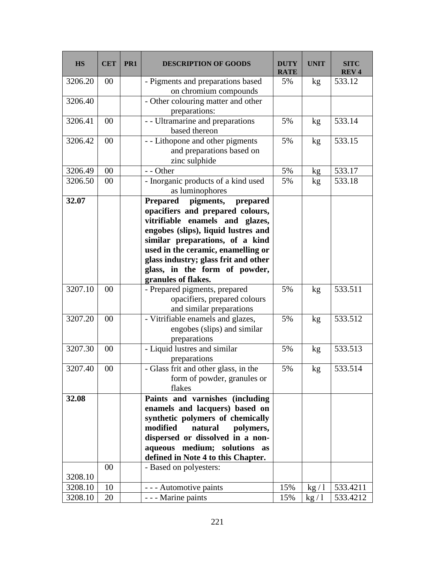| <b>HS</b> | <b>CET</b> | PR <sub>1</sub> | <b>DESCRIPTION OF GOODS</b>                                           | <b>DUTY</b><br><b>RATE</b> | <b>UNIT</b> | <b>SITC</b><br><b>REV4</b> |
|-----------|------------|-----------------|-----------------------------------------------------------------------|----------------------------|-------------|----------------------------|
| 3206.20   | 00         |                 | - Pigments and preparations based<br>on chromium compounds            | 5%                         | kg          | 533.12                     |
| 3206.40   |            |                 | - Other colouring matter and other                                    |                            |             |                            |
|           |            |                 | preparations:                                                         |                            |             |                            |
| 3206.41   | 00         |                 | - - Ultramarine and preparations                                      | 5%                         | kg          | 533.14                     |
|           |            |                 | based thereon                                                         |                            |             |                            |
| 3206.42   | 00         |                 | - - Lithopone and other pigments                                      | 5%                         | kg          | 533.15                     |
|           |            |                 | and preparations based on                                             |                            |             |                            |
|           |            |                 | zinc sulphide                                                         |                            |             |                            |
| 3206.49   | 00         |                 | - - Other                                                             | 5%                         | kg          | 533.17                     |
| 3206.50   | 00         |                 | - Inorganic products of a kind used                                   | 5%                         | kg          | 533.18                     |
|           |            |                 | as luminophores                                                       |                            |             |                            |
| 32.07     |            |                 | <b>Prepared</b><br>pigments,<br>prepared                              |                            |             |                            |
|           |            |                 | opacifiers and prepared colours,                                      |                            |             |                            |
|           |            |                 | vitrifiable enamels and glazes,                                       |                            |             |                            |
|           |            |                 | engobes (slips), liquid lustres and                                   |                            |             |                            |
|           |            |                 | similar preparations, of a kind<br>used in the ceramic, enamelling or |                            |             |                            |
|           |            |                 | glass industry; glass frit and other                                  |                            |             |                            |
|           |            |                 | glass, in the form of powder,                                         |                            |             |                            |
|           |            |                 | granules of flakes.                                                   |                            |             |                            |
| 3207.10   | 00         |                 | - Prepared pigments, prepared                                         | 5%                         | kg          | 533.511                    |
|           |            |                 | opacifiers, prepared colours                                          |                            |             |                            |
|           |            |                 | and similar preparations                                              |                            |             |                            |
| 3207.20   | 00         |                 | - Vitrifiable enamels and glazes,                                     | 5%                         | kg          | 533.512                    |
|           |            |                 | engobes (slips) and similar                                           |                            |             |                            |
|           |            |                 | preparations                                                          |                            |             |                            |
| 3207.30   | 00         |                 | - Liquid lustres and similar                                          | 5%                         | kg          | 533.513                    |
|           |            |                 | preparations                                                          |                            |             |                            |
| 3207.40   | $00\,$     |                 | - Glass frit and other glass, in the                                  | 5%                         | kg          | 533.514                    |
|           |            |                 | form of powder, granules or<br>flakes                                 |                            |             |                            |
| 32.08     |            |                 | Paints and varnishes (including                                       |                            |             |                            |
|           |            |                 | enamels and lacquers) based on                                        |                            |             |                            |
|           |            |                 | synthetic polymers of chemically                                      |                            |             |                            |
|           |            |                 | modified<br>natural<br>polymers,                                      |                            |             |                            |
|           |            |                 | dispersed or dissolved in a non-                                      |                            |             |                            |
|           |            |                 | aqueous medium; solutions as                                          |                            |             |                            |
|           |            |                 | defined in Note 4 to this Chapter.                                    |                            |             |                            |
|           | 00         |                 | - Based on polyesters:                                                |                            |             |                            |
| 3208.10   |            |                 |                                                                       |                            |             |                            |
| 3208.10   | 10         |                 | - - - Automotive paints                                               | 15%                        | kg/1        | 533.4211                   |
| 3208.10   | 20         |                 | - - - Marine paints                                                   | 15%                        | kg/1        | 533.4212                   |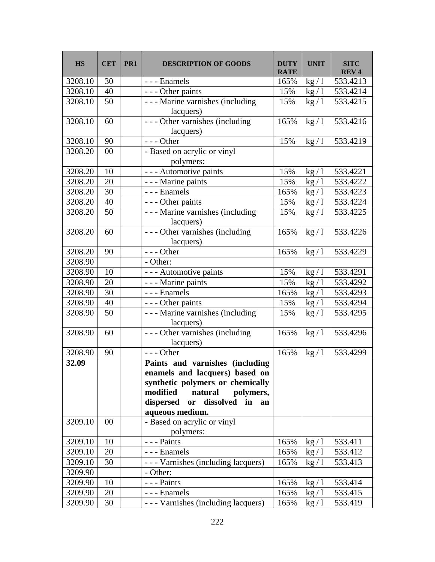| <b>HS</b> | <b>CET</b> | PR <sub>1</sub> | <b>DESCRIPTION OF GOODS</b>                                                                                                                                                                                      | <b>DUTY</b><br><b>RATE</b> | <b>UNIT</b> | <b>SITC</b><br><b>REV4</b> |
|-----------|------------|-----------------|------------------------------------------------------------------------------------------------------------------------------------------------------------------------------------------------------------------|----------------------------|-------------|----------------------------|
| 3208.10   | 30         |                 | - - - Enamels                                                                                                                                                                                                    | 165%                       | kg/1        | 533.4213                   |
| 3208.10   | 40         |                 | - - - Other paints                                                                                                                                                                                               | 15%                        | kg/1        | 533.4214                   |
| 3208.10   | 50         |                 | - - - Marine varnishes (including<br>lacquers)                                                                                                                                                                   | 15%                        | kg/1        | 533.4215                   |
| 3208.10   | 60         |                 | --- Other varnishes (including<br>lacquers)                                                                                                                                                                      | 165%                       | kg/1        | 533.4216                   |
| 3208.10   | 90         |                 | $--$ Other                                                                                                                                                                                                       | 15%                        | kg/1        | 533.4219                   |
| 3208.20   | 00         |                 | - Based on acrylic or vinyl<br>polymers:                                                                                                                                                                         |                            |             |                            |
| 3208.20   | 10         |                 | - - - Automotive paints                                                                                                                                                                                          | 15%                        | kg/1        | 533.4221                   |
| 3208.20   | 20         |                 | - - - Marine paints                                                                                                                                                                                              | 15%                        | kg/1        | 533.4222                   |
| 3208.20   | 30         |                 | --- Enamels                                                                                                                                                                                                      | 165%                       | kg/1        | 533.4223                   |
| 3208.20   | 40         |                 | - - - Other paints                                                                                                                                                                                               | 15%                        | kg/1        | 533.4224                   |
| 3208.20   | 50         |                 | - - - Marine varnishes (including<br>lacquers)                                                                                                                                                                   | 15%                        | kg/1        | 533.4225                   |
| 3208.20   | 60         |                 | --- Other varnishes (including<br>lacquers)                                                                                                                                                                      | 165%                       | kg/1        | 533.4226                   |
| 3208.20   | 90         |                 | $--$ Other                                                                                                                                                                                                       | 165%                       | kg/1        | 533.4229                   |
| 3208.90   |            |                 | - Other:                                                                                                                                                                                                         |                            |             |                            |
| 3208.90   | 10         |                 | - - - Automotive paints                                                                                                                                                                                          | 15%                        | kg/1        | 533.4291                   |
| 3208.90   | 20         |                 | - - - Marine paints                                                                                                                                                                                              | 15%                        | kg/1        | 533.4292                   |
| 3208.90   | 30         |                 | - - - Enamels                                                                                                                                                                                                    | 165%                       | kg/1        | 533.4293                   |
| 3208.90   | 40         |                 | - - - Other paints                                                                                                                                                                                               | 15%                        | kg/1        | 533.4294                   |
| 3208.90   | 50         |                 | - - - Marine varnishes (including<br>lacquers)                                                                                                                                                                   | 15%                        | kg/1        | 533.4295                   |
| 3208.90   | 60         |                 | --- Other varnishes (including<br>lacquers)                                                                                                                                                                      | 165%                       | kg/1        | 533.4296                   |
| 3208.90   | 90         |                 | $--$ Other                                                                                                                                                                                                       | 165%                       | kg/1        | 533.4299                   |
| 32.09     |            |                 | Paints and varnishes (including<br>enamels and lacquers) based on<br>synthetic polymers or chemically<br>modified<br>natural<br>polymers,<br>dissolved in<br>dispersed<br>$\mathbf{or}$<br>an<br>aqueous medium. |                            |             |                            |
| 3209.10   | 00         |                 | - Based on acrylic or vinyl<br>polymers:                                                                                                                                                                         |                            |             |                            |
| 3209.10   | 10         |                 | - - - Paints                                                                                                                                                                                                     | 165%                       | kg/1        | 533.411                    |
| 3209.10   | 20         |                 | - - - Enamels                                                                                                                                                                                                    | 165%                       | kg/1        | 533.412                    |
| 3209.10   | 30         |                 | - - - Varnishes (including lacquers)                                                                                                                                                                             | 165%                       | kg/1        | 533.413                    |
| 3209.90   |            |                 | - Other:                                                                                                                                                                                                         |                            |             |                            |
| 3209.90   | 10         |                 | - - - Paints                                                                                                                                                                                                     | 165%                       | kg/1        | 533.414                    |
| 3209.90   | 20         |                 | - - - Enamels                                                                                                                                                                                                    | 165%                       | kg/1        | 533.415                    |
| 3209.90   | 30         |                 | - - - Varnishes (including lacquers)                                                                                                                                                                             | 165%                       | kg/1        | 533.419                    |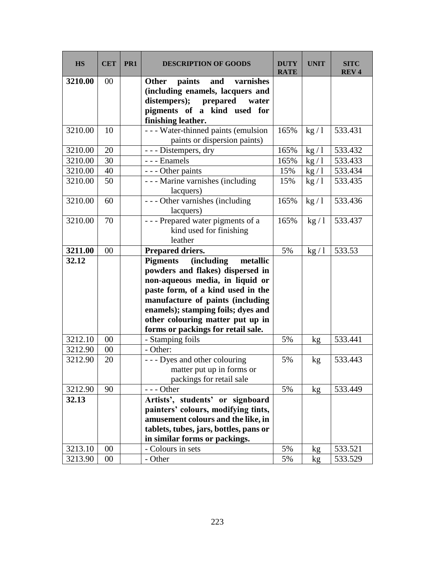| <b>HS</b> | <b>CET</b> | PR <sub>1</sub> | <b>DESCRIPTION OF GOODS</b>                       | <b>DUTY</b><br><b>RATE</b> | <b>UNIT</b>     | <b>SITC</b><br><b>REV4</b> |
|-----------|------------|-----------------|---------------------------------------------------|----------------------------|-----------------|----------------------------|
| 3210.00   | 00         |                 | varnishes<br>paints<br>and<br><b>Other</b>        |                            |                 |                            |
|           |            |                 | (including enamels, lacquers and                  |                            |                 |                            |
|           |            |                 | distempers); prepared<br>water                    |                            |                 |                            |
|           |            |                 | pigments of a kind used for                       |                            |                 |                            |
|           |            |                 | finishing leather.                                |                            |                 |                            |
| 3210.00   | 10         |                 | - - - Water-thinned paints (emulsion              | 165%                       | kg/1            | 533.431                    |
|           |            |                 | paints or dispersion paints)                      |                            |                 |                            |
| 3210.00   | 20         |                 | - - - Distempers, dry                             | 165%                       | kg/1            | 533.432                    |
| 3210.00   | 30         |                 | - - - Enamels                                     | 165%                       | kg/1            | 533.433                    |
| 3210.00   | 40         |                 | - - - Other paints                                | 15%                        | kg/1            | 533.434                    |
| 3210.00   | 50         |                 | - - - Marine varnishes (including                 | 15%                        | kg/1            | 533.435                    |
|           |            |                 | lacquers)                                         |                            |                 |                            |
| 3210.00   | 60         |                 | --- Other varnishes (including                    | 165%                       | kg/1            | 533.436                    |
|           |            |                 | lacquers)                                         |                            |                 |                            |
| 3210.00   | 70         |                 | --- Prepared water pigments of a                  | 165%                       | kg/1            | 533.437                    |
|           |            |                 | kind used for finishing                           |                            |                 |                            |
|           |            |                 | leather                                           |                            |                 |                            |
| 3211.00   | 00         |                 | Prepared driers.                                  | 5%                         | kg/1            | 533.53                     |
| 32.12     |            |                 | <b>Pigments</b><br><i>(including)</i><br>metallic |                            |                 |                            |
|           |            |                 | powders and flakes) dispersed in                  |                            |                 |                            |
|           |            |                 | non-aqueous media, in liquid or                   |                            |                 |                            |
|           |            |                 | paste form, of a kind used in the                 |                            |                 |                            |
|           |            |                 | manufacture of paints (including                  |                            |                 |                            |
|           |            |                 | enamels); stamping foils; dyes and                |                            |                 |                            |
|           |            |                 | other colouring matter put up in                  |                            |                 |                            |
|           |            |                 | forms or packings for retail sale.                |                            |                 |                            |
| 3212.10   | 00         |                 | - Stamping foils                                  | 5%                         | kg              | 533.441                    |
| 3212.90   | 00         |                 | - Other:                                          |                            |                 |                            |
| 3212.90   | 20         |                 | - - - Dyes and other colouring                    | 5%                         | kg              | 533.443                    |
|           |            |                 | matter put up in forms or                         |                            |                 |                            |
|           |            |                 | packings for retail sale                          |                            |                 |                            |
| 3212.90   | 90         |                 | $--$ Other                                        | 5%                         | kg <sub>2</sub> | 533.449                    |
| 32.13     |            |                 | Artists', students' or signboard                  |                            |                 |                            |
|           |            |                 | painters' colours, modifying tints,               |                            |                 |                            |
|           |            |                 | amusement colours and the like, in                |                            |                 |                            |
|           |            |                 | tablets, tubes, jars, bottles, pans or            |                            |                 |                            |
|           |            |                 | in similar forms or packings.                     |                            |                 |                            |
| 3213.10   | 00         |                 | - Colours in sets                                 | 5%                         | kg              | 533.521                    |
| 3213.90   | 00         |                 | - Other                                           | 5%                         | kg              | 533.529                    |